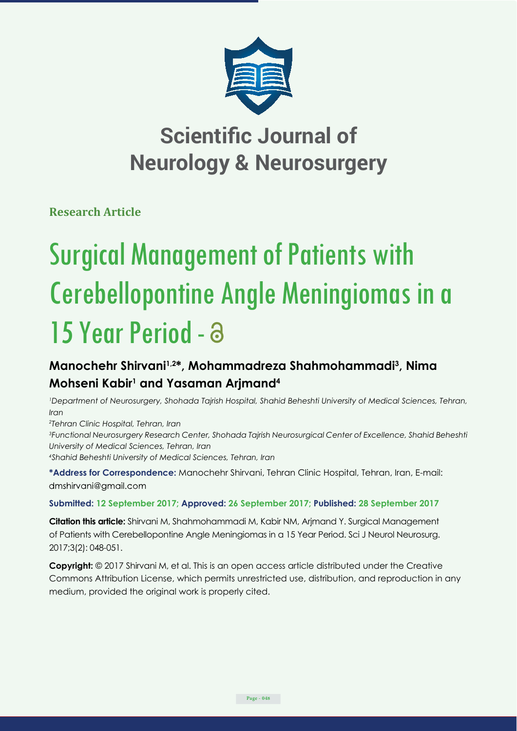

## **Scientific Journal of Neurology & Neurosurgery**

**Research Article**

# Surgical Management of Patients with Cerebellopontine Angle Meningiomas in a 15 Year Period -

### **Manochehr Shirvani1,2\*, Mohammadreza Shahmohammadi3 , Nima Mohseni Kabir1 and Yasaman Arjmand4**

*1 Department of Neurosurgery, Shohada Tajrish Hospital, Shahid Beheshti University of Medical Sciences, Tehran, Iran*

*2 Tehran Clinic Hospital, Tehran, Iran*

*3 Functional Neurosurgery Research Center, Shohada Tajrish Neurosurgical Center of Excellence, Shahid Beheshti University of Medical Sciences, Tehran, Iran 4 Shahid Beheshti University of Medical Sciences, Tehran, Iran*

**\*Address for Correspondence:** Manochehr Shirvani, Tehran Clinic Hospital, Tehran, Iran, E-mail: dmshirvani@gmail.com

#### **Submitted: 12 September 2017; Approved: 26 September 2017; Published: 28 September 2017**

**Citation this article:** Shirvani M, Shahmohammadi M, Kabir NM, Arjmand Y. Surgical Management of Patients with Cerebellopontine Angle Meningiomas in a 15 Year Period. Sci J Neurol Neurosurg. 2017;3(2): 048-051.

**Copyright:** © 2017 Shirvani M, et al. This is an open access article distributed under the Creative Commons Attribution License, which permits unrestricted use, distribution, and reproduction in any medium, provided the original work is properly cited.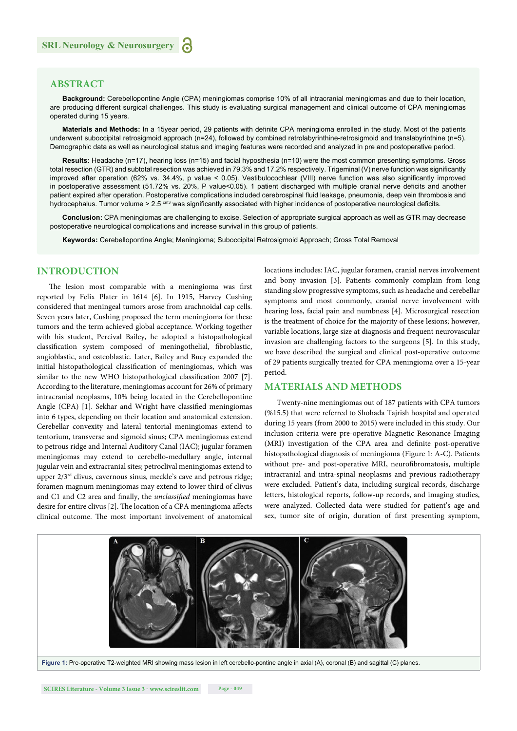#### **ABSTRACT**

**Background:** Cerebellopontine Angle (CPA) meningiomas comprise 10% of all intracranial meningiomas and due to their location, are producing different surgical challenges. This study is evaluating surgical management and clinical outcome of CPA meningiomas operated during 15 years.

Materials and Methods: In a 15year period, 29 patients with definite CPA meningioma enrolled in the study. Most of the patients underwent suboccipital retrosigmoid approach (n=24), followed by combined retrolabyrinthine-retrosigmoid and translabyrinthine (n=5). Demographic data as well as neurological status and imaging features were recorded and analyzed in pre and postoperative period.

**Results:** Headache (n=17), hearing loss (n=15) and facial hyposthesia (n=10) were the most common presenting symptoms. Gross total resection (GTR) and subtotal resection was achieved in 79.3% and 17.2% respectively. Trigeminal (V) nerve function was significantly improved after operation (62% vs. 34.4%, p value < 0.05). Vestibulocochlear (VIII) nerve function was also significantly improved in postoperative assessment (51.72% vs. 20%, P value<0.05). 1 patient discharged with multiple cranial nerve deficits and another patient expired after operation. Postoperative complications included cerebrospinal fluid leakage, pneumonia, deep vein thrombosis and hydrocephalus. Tumor volume > 2.5 cm3 was significantly associated with higher incidence of postoperative neurological deficits.

**Conclusion:** CPA meningiomas are challenging to excise. Selection of appropriate surgical approach as well as GTR may decrease postoperative neurological complications and increase survival in this group of patients.

**Keywords:** Cerebellopontine Angle; Meningioma; Suboccipital Retrosigmoid Approach; Gross Total Removal

#### **INTRODUCTION**

The lesion most comparable with a meningioma was first reported by Felix Plater in 1614 [6]. In 1915, Harvey Cushing considered that meningeal tumors arose from arachnoidal cap cells. Seven years later, Cushing proposed the term meningioma for these tumors and the term achieved global acceptance. Working together with his student, Percival Bailey, he adopted a histopathological classification system composed of meningothelial, fibroblastic, angioblastic, and osteoblastic. Later, Bailey and Bucy expanded the initial histopathological classification of meningiomas, which was similar to the new WHO histopathological classification 2007 [7]. According to the literature, meningiomas account for 26% of primary intracranial neoplasms, 10% being located in the Cerebellopontine Angle (CPA) [1]. Sekhar and Wright have classified meningiomas into 6 types, depending on their location and anatomical extension. Cerebellar convexity and lateral tentorial meningiomas extend to tentorium, transverse and sigmoid sinus; CPA meningiomas extend to petrous ridge and Internal Auditory Canal (IAC); jugular foramen meningiomas may extend to cerebello-medullary angle, internal jugular vein and extracranial sites; petroclival meningiomas extend to upper  $2/3<sup>rd</sup>$  clivus, cavernous sinus, meckle's cave and petrous ridge; foramen magnum meningiomas may extend to lower third of clivus and C1 and C2 area and finally, the *unclassified* meningiomas have desire for entire clivus [2]. The location of a CPA meningioma affects clinical outcome. The most important involvement of anatomical locations includes: IAC, jugular foramen, cranial nerves involvement and bony invasion [3]. Patients commonly complain from long standing slow progressive symptoms, such as headache and cerebellar symptoms and most commonly, cranial nerve involvement with hearing loss, facial pain and numbness [4]. Microsurgical resection is the treatment of choice for the majority of these lesions; however, variable locations, large size at diagnosis and frequent neurovascular invasion are challenging factors to the surgeons [5]. In this study, we have described the surgical and clinical post-operative outcome of 29 patients surgically treated for CPA meningioma over a 15-year period.

#### **MATERIALS AND METHODS**

Twenty-nine meningiomas out of 187 patients with CPA tumors (%15.5) that were referred to Shohada Tajrish hospital and operated during 15 years (from 2000 to 2015) were included in this study. Our inclusion criteria were pre-operative Magnetic Resonance Imaging (MRI) investigation of the CPA area and definite post-operative histopathological diagnosis of meningioma (Figure 1: A-C). Patients without pre- and post-operative MRI, neurofibromatosis, multiple intracranial and intra-spinal neoplasms and previous radiotherapy were excluded. Patient's data, including surgical records, discharge letters, histological reports, follow-up records, and imaging studies, were analyzed. Collected data were studied for patient's age and sex, tumor site of origin, duration of first presenting symptom,

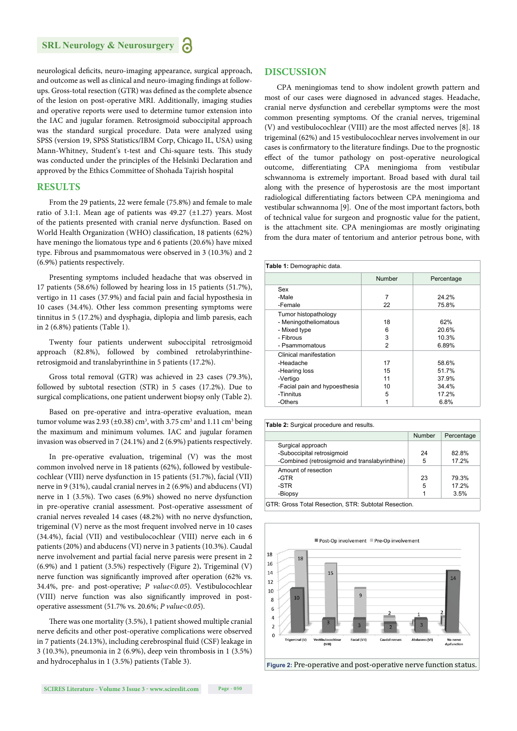neurological deficits, neuro-imaging appearance, surgical approach, and outcome as well as clinical and neuro-imaging findings at followups. Gross-total resection (GTR) was defined as the complete absence of the lesion on post-operative MRI. Additionally, imaging studies and operative reports were used to determine tumor extension into the IAC and jugular foramen. Retrosigmoid suboccipital approach was the standard surgical procedure. Data were analyzed using SPSS (version 19, SPSS Statistics/IBM Corp, Chicago IL, USA) using Mann-Whitney, Student's t-test and Chi-square tests. This study was conducted under the principles of the Helsinki Declaration and approved by the Ethics Committee of Shohada Tajrish hospital

#### **RESULTS**

From the 29 patients, 22 were female (75.8%) and female to male ratio of 3.1:1. Mean age of patients was 49.27 (±1.27) years. Most of the patients presented with cranial nerve dysfunction. Based on World Health Organization (WHO) classification, 18 patients (62%) have meningo the liomatous type and 6 patients (20.6%) have mixed type. Fibrous and psammomatous were observed in 3 (10.3%) and 2 (6.9%) patients respectively.

Presenting symptoms included headache that was observed in 17 patients (58.6%) followed by hearing loss in 15 patients (51.7%), vertigo in 11 cases (37.9%) and facial pain and facial hyposthesia in 10 cases (34.4%). Other less common presenting symptoms were tinnitus in 5 (17.2%) and dysphagia, diplopia and limb paresis, each in 2 (6.8%) patients (Table 1).

Twenty four patients underwent suboccipital retrosigmoid approach (82.8%), followed by combined retrolabyrinthineretrosigmoid and translabyrinthine in 5 patients (17.2%).

Gross total removal (GTR) was achieved in 23 cases (79.3%), followed by subtotal resection (STR) in 5 cases (17.2%). Due to surgical complications, one patient underwent biopsy only (Table 2).

Based on pre-operative and intra-operative evaluation, mean tumor volume was 2.93 ( $\pm$ 0.38) cm<sup>3</sup>, with 3.75 cm<sup>3</sup> and 1.11 cm<sup>3</sup> being the maximum and minimum volumes. IAC and jugular foramen invasion was observed in 7 (24.1%) and 2 (6.9%) patients respectively.

In pre-operative evaluation, trigeminal (V) was the most common involved nerve in 18 patients (62%), followed by vestibulecochlear (VIII) nerve dysfunction in 15 patients (51.7%), facial (VII) nerve in 9 (31%), caudal cranial nerves in 2 (6.9%) and abducens (VI) nerve in 1 (3.5%). Two cases (6.9%) showed no nerve dysfunction in pre-operative cranial assessment. Post-operative assessment of cranial nerves revealed 14 cases (48.2%) with no nerve dysfunction, trigeminal (V) nerve as the most frequent involved nerve in 10 cases (34.4%), facial (VII) and vestibulocochlear (VIII) nerve each in 6 patients (20%) and abducens (VI) nerve in 3 patients (10.3%). Caudal nerve involvement and partial facial nerve paresis were present in 2 (6.9%) and 1 patient (3.5%) respectively (Figure 2)**.** Trigeminal (V) nerve function was significantly improved after operation (62% vs. 34.4%, pre- and post-operative; *P value<0.05*). Vestibulocochlear (VIII) nerve function was also significantly improved in postoperative assessment (51.7% vs. 20.6%; *P value<0.05*).

There was one mortality (3.5%), 1 patient showed multiple cranial nerve deficits and other post-operative complications were observed in 7 patients (24.13%), including cerebrospinal fluid (CSF) leakage in 3 (10.3%), pneumonia in 2 (6.9%), deep vein thrombosis in 1 (3.5%) and hydrocephalus in 1 (3.5%) patients (Table 3).

#### **DISCUSSION**

CPA meningiomas tend to show indolent growth pattern and most of our cases were diagnosed in advanced stages. Headache, cranial nerve dysfunction and cerebellar symptoms were the most common presenting symptoms. Of the cranial nerves, trigeminal (V) and vestibulocochlear (VIII) are the most affected nerves [8]. 18 trigeminal (62%) and 15 vestibulocochlear nerves involvement in our cases is confirmatory to the literature findings. Due to the prognostic effect of the tumor pathology on post-operative neurological outcome, differentiating CPA meningioma from vestibular schwannoma is extremely important. Broad based with dural tail along with the presence of hyperostosis are the most important radiological differentiating factors between CPA meningioma and vestibular schwannoma [9]. One of the most important factors, both of technical value for surgeon and prognostic value for the patient, is the attachment site. CPA meningiomas are mostly originating from the dura mater of tentorium and anterior petrous bone, with

| Table 1: Demographic data.    |                |            |  |
|-------------------------------|----------------|------------|--|
|                               | Number         | Percentage |  |
| Sex                           |                |            |  |
| -Male                         | 7              | 24.2%      |  |
| -Female                       | 22             | 75.8%      |  |
| Tumor histopathology          |                |            |  |
| - Meningotheliomatous         | 18             | 62%        |  |
| - Mixed type                  | 6              | 20.6%      |  |
| - Fibrous                     | 3              | 10.3%      |  |
| - Psammomatous                | $\mathfrak{p}$ | 6.89%      |  |
| Clinical manifestation        |                |            |  |
| -Headache                     | 17             | 58.6%      |  |
| -Hearing loss                 | 15             | 51.7%      |  |
| -Vertigo                      | 11             | 37.9%      |  |
| -Facial pain and hypoesthesia | 10             | 34.4%      |  |
| -Tinnitus                     | 5              | 17.2%      |  |
| -Others                       |                | 6.8%       |  |

| Table 2: Surgical procedure and results.            |        |            |  |  |
|-----------------------------------------------------|--------|------------|--|--|
|                                                     | Number | Percentage |  |  |
| Surgical approach                                   |        |            |  |  |
| -Suboccipital retrosigmoid                          | 24     | 82.8%      |  |  |
| -Combined (retrosigmoid and translabyrinthine)      | 5      | 17.2%      |  |  |
| Amount of resection                                 |        |            |  |  |
| -GTR                                                | 23     | 79.3%      |  |  |
| -STR                                                | 5      | 17.2%      |  |  |
| -Biopsy                                             |        | 3.5%       |  |  |
| OTD: Outro Total Descrition OTD: Ouklaid Descrition |        |            |  |  |

GTR: Gross Total Resection, STR: Subtotal Resection.



**Figure 2:** Pre-operative and post-operative nerve function status.